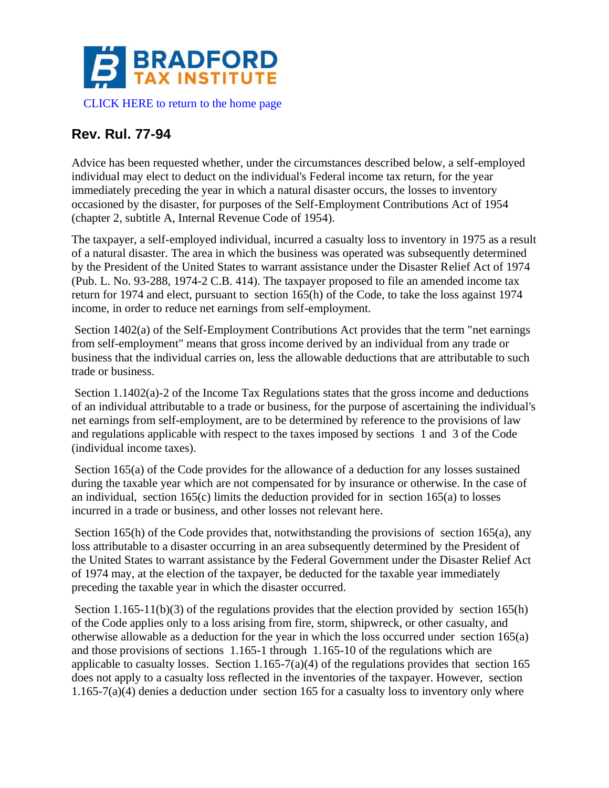

## **Rev. Rul. 77-94**

Advice has been requested whether, under the circumstances described below, a self-employed individual may elect to deduct on the individual's Federal income tax return, for the year immediately preceding the year in which a natural disaster occurs, the losses to inventory occasioned by the disaster, for purposes of the Self-Employment Contributions Act of 1954 (chapter 2, subtitle A, Internal Revenue Code of 1954).

The taxpayer, a self-employed individual, incurred a casualty loss to inventory in 1975 as a result of a natural disaster. The area in which the business was operated was subsequently determined by the President of the United States to warrant assistance under the Disaster Relief Act of 1974 (Pub. L. No. 93-288, 1974-2 C.B. 414). The taxpayer proposed to file an amended income tax return for 1974 and elect, pursuant to section 165(h) of the Code, to take the loss against 1974 income, in order to reduce net earnings from self-employment.

Section 1402(a) of the Self-Employment Contributions Act provides that the term "net earnings from self-employment" means that gross income derived by an individual from any trade or business that the individual carries on, less the allowable deductions that are attributable to such trade or business.

Section 1.1402(a)-2 of the Income Tax Regulations states that the gross income and deductions of an individual attributable to a trade or business, for the purpose of ascertaining the individual's net earnings from self-employment, are to be determined by reference to the provisions of law and regulations applicable with respect to the taxes imposed by sections 1 and 3 of the Code (individual income taxes).

Section 165(a) of the Code provides for the allowance of a deduction for any losses sustained during the taxable year which are not compensated for by insurance or otherwise. In the case of an individual, section  $165(c)$  limits the deduction provided for in section  $165(a)$  to losses incurred in a trade or business, and other losses not relevant here.

Section 165(h) of the Code provides that, notwithstanding the provisions of section 165(a), any loss attributable to a disaster occurring in an area subsequently determined by the President of the United States to warrant assistance by the Federal Government under the Disaster Relief Act of 1974 may, at the election of the taxpayer, be deducted for the taxable year immediately preceding the taxable year in which the disaster occurred.

Section 1.165-11(b)(3) of the regulations provides that the election provided by section 165(h) of the Code applies only to a loss arising from fire, storm, shipwreck, or other casualty, and otherwise allowable as a deduction for the year in which the loss occurred under section 165(a) and those provisions of sections 1.165-1 through 1.165-10 of the regulations which are applicable to casualty losses. Section 1.165-7(a)(4) of the regulations provides that section 165 does not apply to a casualty loss reflected in the inventories of the taxpayer. However, section 1.165-7(a)(4) denies a deduction under section 165 for a casualty loss to inventory only where